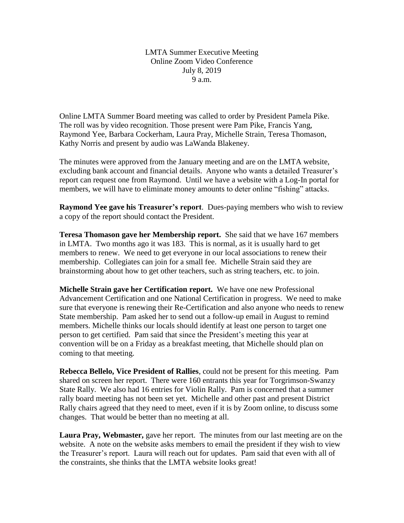LMTA Summer Executive Meeting Online Zoom Video Conference July 8, 2019 9 a.m.

Online LMTA Summer Board meeting was called to order by President Pamela Pike. The roll was by video recognition. Those present were Pam Pike, Francis Yang, Raymond Yee, Barbara Cockerham, Laura Pray, Michelle Strain, Teresa Thomason, Kathy Norris and present by audio was LaWanda Blakeney.

The minutes were approved from the January meeting and are on the LMTA website, excluding bank account and financial details. Anyone who wants a detailed Treasurer's report can request one from Raymond. Until we have a website with a Log-In portal for members, we will have to eliminate money amounts to deter online "fishing" attacks.

**Raymond Yee gave his Treasurer's report**. Dues-paying members who wish to review a copy of the report should contact the President.

**Teresa Thomason gave her Membership report.** She said that we have 167 members in LMTA. Two months ago it was 183. This is normal, as it is usually hard to get members to renew. We need to get everyone in our local associations to renew their membership. Collegiates can join for a small fee. Michelle Strain said they are brainstorming about how to get other teachers, such as string teachers, etc. to join.

**Michelle Strain gave her Certification report.** We have one new Professional Advancement Certification and one National Certification in progress. We need to make sure that everyone is renewing their Re-Certification and also anyone who needs to renew State membership. Pam asked her to send out a follow-up email in August to remind members. Michelle thinks our locals should identify at least one person to target one person to get certified. Pam said that since the President's meeting this year at convention will be on a Friday as a breakfast meeting, that Michelle should plan on coming to that meeting.

**Rebecca Bellelo, Vice President of Rallies**, could not be present for this meeting. Pam shared on screen her report. There were 160 entrants this year for Torgrimson-Swanzy State Rally. We also had 16 entries for Violin Rally. Pam is concerned that a summer rally board meeting has not been set yet. Michelle and other past and present District Rally chairs agreed that they need to meet, even if it is by Zoom online, to discuss some changes. That would be better than no meeting at all.

**Laura Pray, Webmaster,** gave her report. The minutes from our last meeting are on the website. A note on the website asks members to email the president if they wish to view the Treasurer's report. Laura will reach out for updates. Pam said that even with all of the constraints, she thinks that the LMTA website looks great!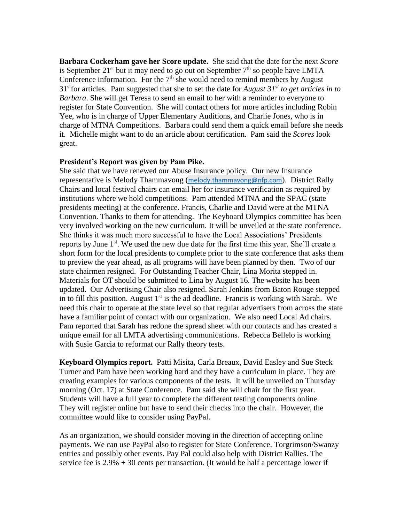**Barbara Cockerham gave her Score update.** She said that the date for the next *Score* is September 21<sup>st</sup> but it may need to go out on September  $7<sup>th</sup>$  so people have LMTA Conference information. For the  $7<sup>th</sup>$  she would need to remind members by August 31stfor articles. Pam suggested that she to set the date for *August 31st to get articles in to Barbara*. She will get Teresa to send an email to her with a reminder to everyone to register for State Convention. She will contact others for more articles including Robin Yee, who is in charge of Upper Elementary Auditions, and Charlie Jones, who is in charge of MTNA Competitions. Barbara could send them a quick email before she needs it. Michelle might want to do an article about certification. Pam said the *Scores* look great.

## **President's Report was given by Pam Pike.**

She said that we have renewed our Abuse Insurance policy. Our new Insurance representative is Melody Thammavong ([melody.thammavong@nfp.com](mailto:melody.thammavong@nfp.com)). District Rally Chairs and local festival chairs can email her for insurance verification as required by institutions where we hold competitions. Pam attended MTNA and the SPAC (state presidents meeting) at the conference. Francis, Charlie and David were at the MTNA Convention. Thanks to them for attending. The Keyboard Olympics committee has been very involved working on the new curriculum. It will be unveiled at the state conference. She thinks it was much more successful to have the Local Associations' Presidents reports by June 1<sup>st</sup>. We used the new due date for the first time this year. She'll create a short form for the local presidents to complete prior to the state conference that asks them to preview the year ahead, as all programs will have been planned by then. Two of our state chairmen resigned. For Outstanding Teacher Chair, Lina Morita stepped in. Materials for OT should be submitted to Lina by August 16. The website has been updated. Our Advertising Chair also resigned. Sarah Jenkins from Baton Rouge stepped in to fill this position. August  $1<sup>st</sup>$  is the ad deadline. Francis is working with Sarah. We need this chair to operate at the state level so that regular advertisers from across the state have a familiar point of contact with our organization. We also need Local Ad chairs. Pam reported that Sarah has redone the spread sheet with our contacts and has created a unique email for all LMTA advertising communications. Rebecca Bellelo is working with Susie Garcia to reformat our Rally theory tests.

**Keyboard Olympics report.** Patti Misita, Carla Breaux, David Easley and Sue Steck Turner and Pam have been working hard and they have a curriculum in place. They are creating examples for various components of the tests. It will be unveiled on Thursday morning (Oct. 17) at State Conference. Pam said she will chair for the first year. Students will have a full year to complete the different testing components online. They will register online but have to send their checks into the chair. However, the committee would like to consider using PayPal.

As an organization, we should consider moving in the direction of accepting online payments. We can use PayPal also to register for State Conference, Torgrimson/Swanzy entries and possibly other events. Pay Pal could also help with District Rallies. The service fee is  $2.9\% + 30$  cents per transaction. (It would be half a percentage lower if